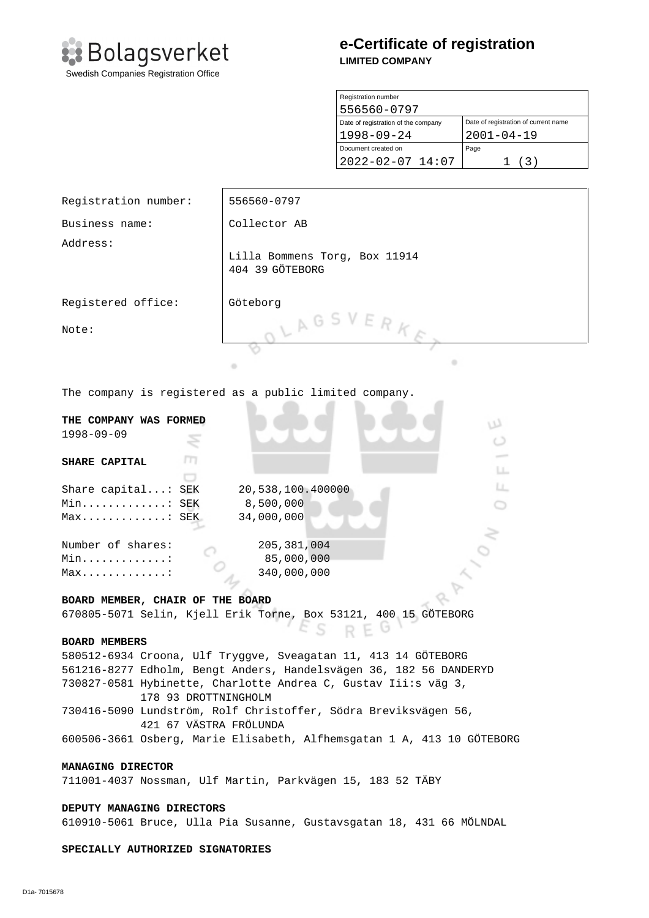

# **e-Certificate of registration LIMITED COMPANY**

| Registration number                 |                                      |
|-------------------------------------|--------------------------------------|
| 556560-0797                         |                                      |
| Date of registration of the company | Date of registration of current name |
| $1998 - 09 - 24$                    | $2001 - 04 - 19$                     |
| Document created on                 | Page                                 |
| 2022-02-07 14:07                    | (3)                                  |

| Registration number:                                                   | 556560-0797                                                        |  |  |
|------------------------------------------------------------------------|--------------------------------------------------------------------|--|--|
| Business name:                                                         | Collector AB                                                       |  |  |
| Address:                                                               | Lilla Bommens Torg, Box 11914<br>404 39 GÖTEBORG                   |  |  |
| Registered office:                                                     | Göteborg                                                           |  |  |
| Note:                                                                  | LAGSVERKE                                                          |  |  |
|                                                                        | ۰<br>۰                                                             |  |  |
| The company is registered as a public limited company.                 |                                                                    |  |  |
| THE COMPANY WAS FORMED                                                 | w                                                                  |  |  |
| $1998 - 09 - 09$                                                       | O                                                                  |  |  |
| т<br>SHARE CAPITAL                                                     |                                                                    |  |  |
|                                                                        | LL.                                                                |  |  |
| Share capital: SEK                                                     | Ц.<br>20,538,100.400000                                            |  |  |
| Min: SEK                                                               | 8,500,000                                                          |  |  |
| Max: SEK                                                               | 34,000,000                                                         |  |  |
| Number of shares:                                                      | 205, 381, 004                                                      |  |  |
| Min. :                                                                 | 85,000,000                                                         |  |  |
| $Max. \ldots \ldots \ldots \ldots$ :                                   | 340,000,000                                                        |  |  |
|                                                                        |                                                                    |  |  |
| BOARD MEMBER, CHAIR OF THE BOARD                                       |                                                                    |  |  |
|                                                                        | 670805-5071 Selin, Kjell Erik Torne, Box 53121, 400 15 GÖTEBORG    |  |  |
|                                                                        | REG                                                                |  |  |
| <b>BOARD MEMBERS</b>                                                   |                                                                    |  |  |
|                                                                        | 580512-6934 Croona, Ulf Tryggve, Sveagatan 11, 413 14 GÖTEBORG     |  |  |
|                                                                        | 561216-8277 Edholm, Bengt Anders, Handelsvägen 36, 182 56 DANDERYD |  |  |
| 730827-0581 Hybinette, Charlotte Andrea C, Gustav Iii:s väg 3,         |                                                                    |  |  |
| 178 93 DROTTNINGHOLM                                                   |                                                                    |  |  |
| 730416-5090 Lundström, Rolf Christoffer, Södra Breviksvägen 56,        |                                                                    |  |  |
| 421 67 VÄSTRA FRÖLUNDA                                                 |                                                                    |  |  |
| 600506-3661 Osberg, Marie Elisabeth, Alfhemsgatan 1 A, 413 10 GÖTEBORG |                                                                    |  |  |
| MANAGING DIRECTOR                                                      |                                                                    |  |  |
|                                                                        | 711001-4037 Nossman, Ulf Martin, Parkvägen 15, 183 52 TÄBY         |  |  |
| DEPUTY MANAGING DIRECTORS                                              |                                                                    |  |  |
| 610910-5061 Bruce, Ulla Pia Susanne, Gustavsgatan 18, 431 66 MÖLNDAL   |                                                                    |  |  |
| SPECIALLY AUTHORIZED SIGNATORIES                                       |                                                                    |  |  |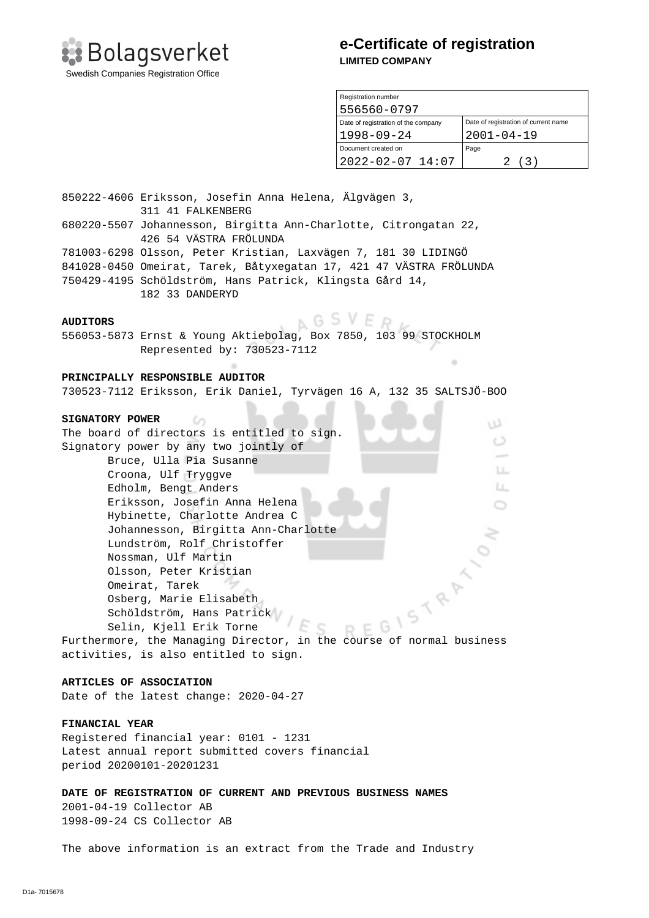

### **e-Certificate of registration LIMITED COMPANY**

| Registration number                 |                                      |  |
|-------------------------------------|--------------------------------------|--|
| 556560-0797                         |                                      |  |
| Date of registration of the company | Date of registration of current name |  |
| $1998 - 09 - 24$                    | $2001 - 04 - 19$                     |  |
| Document created on                 | Page                                 |  |
| $2022 - 02 - 07$ 14:07              | (3)<br>2.                            |  |

٠

w  $\circ$ 

> LL. LL. Ö

850222-4606 Eriksson, Josefin Anna Helena, Älgvägen 3, 311 41 FALKENBERG 680220-5507 Johannesson, Birgitta Ann-Charlotte, Citrongatan 22, 426 54 VÄSTRA FRÖLUNDA 781003-6298 Olsson, Peter Kristian, Laxvägen 7, 181 30 LIDINGÖ 841028-0450 Omeirat, Tarek, Båtyxegatan 17, 421 47 VÄSTRA FRÖLUNDA 750429-4195 Schöldström, Hans Patrick, Klingsta Gård 14, 182 33 DANDERYD

#### **AUDITORS**

**NGSVED** 

556053-5873 Ernst & Young Aktiebolag, Box 7850, 103 99 STOCKHOLM Represented by: 730523-7112

### **PRINCIPALLY RESPONSIBLE AUDITOR**

 $\omega$ 

730523-7112 Eriksson, Erik Daniel, Tyrvägen 16 A, 132 35 SALTSJÖ-BOO

#### **SIGNATORY POWER**

The board of directors is entitled to sign. Signatory power by any two jointly of Bruce, Ulla Pia Susanne Croona, Ulf Tryggve Edholm, Bengt Anders Eriksson, Josefin Anna Helena Hybinette, Charlotte Andrea C Johannesson, Birgitta Ann-Charlotte Lundström, Rolf Christoffer Nossman, Ulf Martin Olsson, Peter Kristian Omeirat, Tarek Osberg, Marie Elisabeth Schöldström, Hans Patrick Selin, Kjell Erik Torne Furthermore, the Managing Director, in the Course of normal business<br>activities, is also entitled to the Course of normal business

activities, is also entitled to sign.

### **ARTICLES OF ASSOCIATION**

Date of the latest change: 2020-04-27

### **FINANCIAL YEAR**

Registered financial year: 0101 - 1231 Latest annual report submitted covers financial period 20200101-20201231

**DATE OF REGISTRATION OF CURRENT AND PREVIOUS BUSINESS NAMES**  2001-04-19 Collector AB 1998-09-24 CS Collector AB

The above information is an extract from the Trade and Industry